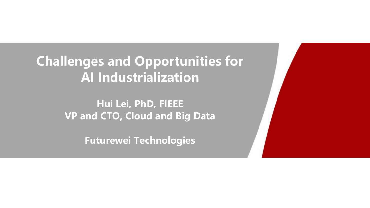**Challenges and Opportunities for AI Industrialization**

> **Hui Lei, PhD, FIEEE VP and CTO, Cloud and Big Data**

> > **Futurewei Technologies**

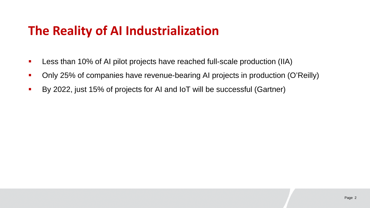## **The Reality of AI Industrialization**

- **Less than 10% of AI pilot projects have reached full-scale production (IIA)**
- Only 25% of companies have revenue-bearing AI projects in production (O'Reilly)
- By 2022, just 15% of projects for AI and IoT will be successful (Gartner)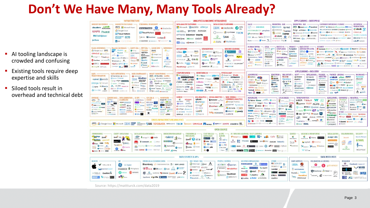## **Don't We Have Many, Many Tools Already?**

- AI tooling landscape is crowded and confusing
- **Existing tools require deep** expertise and skills
- **Siloed tools result in** overhead and technical debt

| INFRASTRUCTURE                                                                                                                                                                                                                                                                                                                                                                                                                                                                                                                                                                                                                                                                                                                                                                                                                                                                                                                                                                                                                                                                        | <b>ANALYTICS &amp; MACHINE INTELLIGENCE</b>                                                                                                                                                                                                                                                                                                                                                                                                                                                                                                                                                                                                              | <b>APPLICATIONS - ENTERPRISE</b>                                                                                                                                                                                                                                                                                                                                                                                                                                                                                                                                                                                                                                                                                                                                                                                                                                                                                                                                                                                                                                                                                                                                                                                                                                                                                                                                                                                                                                                                                                                                                                                                                                                                                                                                                                                                                                                                                      |  |  |
|---------------------------------------------------------------------------------------------------------------------------------------------------------------------------------------------------------------------------------------------------------------------------------------------------------------------------------------------------------------------------------------------------------------------------------------------------------------------------------------------------------------------------------------------------------------------------------------------------------------------------------------------------------------------------------------------------------------------------------------------------------------------------------------------------------------------------------------------------------------------------------------------------------------------------------------------------------------------------------------------------------------------------------------------------------------------------------------|----------------------------------------------------------------------------------------------------------------------------------------------------------------------------------------------------------------------------------------------------------------------------------------------------------------------------------------------------------------------------------------------------------------------------------------------------------------------------------------------------------------------------------------------------------------------------------------------------------------------------------------------------------|-----------------------------------------------------------------------------------------------------------------------------------------------------------------------------------------------------------------------------------------------------------------------------------------------------------------------------------------------------------------------------------------------------------------------------------------------------------------------------------------------------------------------------------------------------------------------------------------------------------------------------------------------------------------------------------------------------------------------------------------------------------------------------------------------------------------------------------------------------------------------------------------------------------------------------------------------------------------------------------------------------------------------------------------------------------------------------------------------------------------------------------------------------------------------------------------------------------------------------------------------------------------------------------------------------------------------------------------------------------------------------------------------------------------------------------------------------------------------------------------------------------------------------------------------------------------------------------------------------------------------------------------------------------------------------------------------------------------------------------------------------------------------------------------------------------------------------------------------------------------------------------------------------------------------|--|--|
| <b>HADOOP ON PREMISE</b><br>HADOOP IN THE CLOUD<br><b>STREAMING / IN-MEMORY</b><br>cloudera Hortomorks<br><b>aws Microsoft Azure</b><br>Amazon Kinesis<br>edatabricks<br>Google Cloud<br><b>MAPR Pivotal</b><br><b>Cloud Platform</b><br><b>Mate</b> inconfluent<br>Cloud Platform<br><b>IBM</b> InfoSphere<br><b>DIM Indulgenes CITM</b><br>strim a hazelcast<br>GridGain<br>jethro<br>Obole CAZENA<br>CLOASINGES L'INVANCOLOR NEW PASSIONIN' ICK                                                                                                                                                                                                                                                                                                                                                                                                                                                                                                                                                                                                                                    | <b>DATA ANALYST PLATFORMS</b><br><b>DATA SCIENCE PLATFORMS</b><br>Microsoft @ pentoho alteryx<br><b>IBM</b> sdatabricks a <sup>data</sup><br><b>Exploring GUAVUS AYASDI</b><br>Sponso Mapidminer TIBCO<br>ATTIV/O Datameer incorta.<br>$\circ$<br>$\frac{1}{\Lambda(1+\epsilon)}$<br>Ssas<br><b>ANACCHIDA</b><br>inter ana MHMODE ENDO?<br>KNIME MathWorks<br><b>M. SISLI switchboard</b> Stauburn                                                                                                                                                                                                                                                       | $SALES$ -<br><b>MARKETING - B2B</b><br><b>ENTERPRISE</b><br><b>MARKETING - B2C</b><br><b>CUSTOMER EXPERIENCE / SERVICE</b><br><b>PRODUCTIVITY</b><br><b>CHORUS</b><br>RADIUS Acc Annie<br>ZBTa Choomrosch & SendGrid<br><b>QUARTICE<sup>44</sup> O MEDALLIA (This convertions</b><br><b>SUTTER</b> Texas<br>slack y<br><b>CLARABRIDGE Zendesk Vi Nustomer exhibits</b><br><b>My evenession ELattice</b><br><b>braze</b> ACTIONIO <b>CONVECORE</b><br>INSIDESALES.COM peoplear<br>Contact Cont O moment Ganger #pendo<br><b>ORACLE</b><br>Of contents outer & FRALMAN 20 mported<br><b>D</b> HINTIGO 6sense<br>CONVersica 200<br><b>GURU</b> lumiak<br>HEAP @Amathase of Wellst-Automotive @ Dainyle<br>Amplero & separtly a quantities<br><b>ANDUOT O</b><br>Clari A aviso tact al Dinneri<br><b>Co purson</b> @ class<br>DigitalGenius ASAPP Q ada nurromom afiniti<br><b>GO Simon</b> July [PERSADO]<br>fuse machines & case et<br>кнотск ПИРО<br>Coldeni theorem 100000 America<br>talla <sup>n</sup> Kasisto<br>-remesh                                                                                                                                                                                                                                                                                                                                                                                                                                                                                                                                                                                                                                                                                                                                                                                                                                                                                           |  |  |
| <b>NoSQL DATABASES</b><br>NewSOL DATABASES -<br>GRAPH DBs - MPP DBs -<br>CLOUD EDW - SERVERLES<br>SAP Clustrix of<br><b>TERADATA</b><br>Google Cloud <b>BWS</b><br><b>Breck</b><br>aws<br>$\langle \cdot \rangle$<br><b>VERTICA</b><br>Pivotol<br>Amazon Nantun<br>ORACLE T Mimuti Anne<br><b>Coogle Cloud</b><br><b>ISM Data</b><br>Warehouse System<br>57<br>IRM<br><b>Inite Chairman</b><br>mongolli Markings<br><b>B. Microsoft Americ</b><br>Cobon<br>O<br><b>MA MINSOL O Influence</b><br>ORACLE<br>Pivotal<br>Couchbase CATASTAY's<br><b>Kognitio</b><br>Odentis R.A.<br>Cockroschuss<br><b>CAPULSAR</b><br>Exasol<br><b>Cashmarton</b><br><b>Carodaicts</b><br>A situading<br><b>VOLTDS SPIRE Olivia</b><br>nuclio<br>C dremio<br>Infoworks<br>Constant Marie 1999<br><b>Call Form borne</b><br>Shimpson SCYLLA.                                                                                                                                                                                                                                                              | <b>BI PLATFORMS</b><br><b>VISUALIZATION</b><br><b>MACHINE LEARNING</b><br>looker <b>Communication</b><br>+ a ble au all Power 8<br><b>ASS</b><br>人口<br><b>Aharen Loutha</b><br><b>DENTE</b> ARCADEMIN <b>E</b> PROGRESSED<br>Coogle Cloud<br><b>Carl School</b><br>H.O.<br>gamalor<br>ATSCALE R QIKQ<br>cetonis O Perisson<br><b>O</b> cent Koroca plott<br>Geneva Integrities & birst<br>VISENZE ELEMENT<br>deepserve.al<br>CHARTIO Figure 1910<br>MicroStrategy & Keen ICI                                                                                                                                                                             | <b>HUMAN CAPITAL -</b><br>$LEGAL -$<br><b>REGTECH&amp;-</b><br><b>FINANCE-</b><br><b>BACK OFFICE -</b><br>SECURITY<br>RAVEL &<br>COMPLIANCE<br><b>AUTOMATION &amp; RPA</b><br><b>CTANIUM &amp; CYLANCE COZSCORY StackPath 2018um</b><br>/:naplan<br>Har Vic Copymerics<br>hill <sub>Sterm</sub> On-<br>Ui Path Commission<br><b>Of high Life Execution</b><br><b>Zuora</b><br>CODE43 ConoCtod A COARCING ANOMALI The Throughlette<br>espisco OL<br>mya<br>text IQ Comply<br><b>ZD</b> SANAMA<br>bluesnam Awasa<br><b>JUDICATA</b><br><b>QAllyo</b> Destio<br>AVECTRA sources TE distance D DATAVISOR Saff science<br><b>IRADESHIFE</b><br>VIDADO 4Nov2n<br><b>VBREVIA</b><br>B/WodeliWendy Stella<br>PARTNERSHIPS-<br>pindrop A exabeam are NEY'S @ Serious Court Secret Service & socials<br>@WorkFusion workate<br>fall minutes<br>THOMCLAD<br>$\bullet$ $\bullet$ entero<br><b>E DIRECTOR MAY</b><br>Research & Catalytic<br>Notes Whitelass of Metrico (1) Provent feed to Cyber HITSIGHT<br>CILCEACTO<br><b>BRENWHITON</b><br><b>BINTONUM</b><br><b>ANTWORKS' SERVICE</b><br><b>fsadcooper</b><br>Characterized Cheese Community FORTER HANDLET EJASK<br><b>Ress</b><br><b>ICRYON</b><br>$\sum_{i \in I}$ MVA<br>O bearing<br><b>ALRYSTI</b><br>e au<br><b>CASOLONE</b><br>pact<br>MAI BLUENCHARDH Semmie O  XARENE SHIPLE MAINLES                                                                                                                                                                                                                                                                                                                                                                                                                                                                                                                                                                               |  |  |
| DATA INTEGRATION -<br>DATA GOVERNANCE -<br>MGMT/MONITORING -<br>DATA -<br><b>TRANSFORMATION</b><br><b><i><u>AWS</u></i></b> O New Relic actific<br><b>Q</b> informatica<br><b>@SailPoint</b><br>MINIMUM STEALNE<br>Orobrik O APPOYNAMICS<br>IBM<br>·talend @ pentaho<br><b>McAfee Skyhigh</b><br>Security Cloud<br>stolage enigms presentative<br><b>E</b> Odviduce Exemption<br>collibra<br>alteryx C TRIPACTA<br>$C$ dramin<br><b>Chipmen CATUNITY</b><br>per Alation www.<br>ZALON! import.lo<br>splunk>>MongualtAngercluring><br>tomr Paxata<br><b>ATION NEWS</b><br>Guess "Neverly E Himming<br><b>Information A</b> moment<br>OKERA<br>$\overline{a}$<br>NAVCA CHARLENGER<br>Street Sets UNIFI<br><b>BNOWFLOW</b> AVAILABLE<br><b>Zenings Cystem WARNINGS</b>                                                                                                                                                                                                                                                                                                                   | <b>COMPUTER VISION -</b><br>SPEECH & NLP -<br><b>HORIZONTAL AI-</b><br>O Google Court @twillio<br>55 Microsoft Azure<br>While Watson Cortama, Escal & B<br>Companies for the companies<br>C sentient Voyagen Changes<br>darifal CA<br>comment of senate com-<br><b>Ka</b><br>24.01 HRSPA<br>: EVER Al a deepomatic<br>O Mebyel - III Keertechnige<br>SoundHound Inc. V PRIMER<br>communication with twenty!<br>A Nomenta PETUUM ET<br># fallel ()----- ----- ---<br>a usiquity ADEE<br>norotosts "COROUSAL OSARO<br>copito snips min a<br>VABIYITU trax AMM<br><b>CLASS VISSON III</b> Server the<br><b>SHERTHE UT WOOD PUTIL ERIS</b><br>synthesia Guno | <b>APPLICATIONS - INDUSTRY</b><br><b>INSURANCE</b><br><b>ADVERTISING -</b><br><b>EDUCATION</b><br><b>REAL ESTATE</b><br><b>GOV'T</b><br><b>INTELLIGENCE</b><br><b>FINANCE</b><br><b>FINANCE - LENDING</b><br><b>Ed Listinians</b><br><b>INVESTING</b><br><b>REDFIN</b><br>ondeck Affirm 161613<br><b>COPENSOV</b><br>Q Palantir<br><b>Matanimida</b><br>Applema distant<br>□ 顶链属<br>KENSHO<br>temonade<br>Opendoor<br>mark43<br><b>JIANPU.AI</b> «Kreditech AVANT<br><b><i><u><b>R.</b>Dataminr</u></i></b><br>criteol. <i>OxAd</i> Ordegal<br>SKNEWTON<br>Guardon<br>CYENCE<br>VTS<br>Tit families<br><b>ORACLE SpenX</b> @didion<br><b>Chuid</b><br><b>Elias Common A Upstart</b><br>Clever<br>f<br><b>JOURNAL</b><br><b>CREDIFI</b><br><b>C</b> LiveStories<br>Geclara<br><b>ONFICIAL</b><br><b>GIUYO GLEAPBANC IN upprode</b><br>SNR <sup>1</sup> echrato<br><b>PRIMER</b><br>O the TradeDesk [                          <br><b>WIGEOPHY</b><br><b>Il</b> Passport<br>kidaptive<br>ROOT<br><b>ISENTIUM</b><br>dstillery #2 Livelations<br>100Credit (DWWLab Wecoshillanger<br>To research<br>$F$ $G$ <b>RGE</b><br><b>SmartProcure</b><br>resty on V<br><b>FANCISAMA</b><br>Annover<br><b>TAPAD dataxu gunguni</b><br><b>B</b> CONFISTAR<br>The Accord C MoneyLion (St Accord)<br>steech lovepap<br><b>Disnovere</b><br><b>3- Floring Place</b><br>de Sanctanas<br>A ACAPE<br>Clepior O Million Co.<br>aire aghih<br>"15" OproBataSelt<br><b>AUTOCHTODE</b><br>ARACAYA                                                                                                                                                                                                                                                                                                                                                                                                                                            |  |  |
| <b>STORAGE</b><br><b>DATA GENERATION</b><br>HARDWARE<br><b>CLUSTER SVCS -</b><br>$ADOS$ –<br>GPU DRs &<br>$aws$ $\circ$<br>& LABELLING<br>3 American C.<br><b>ALGORITHMIA</b><br>CHOUD<br>Google TPU CITTI<br><b>Could List</b><br><b>IBM OWNER</b><br>$\frac{1-2}{2}$ $\approx$ $\frac{1}{2}$ rwise<br>anazon reche suitzi<br><b>Castle Castled</b><br>kinstico <b>PHA</b><br>Mesosoft Azues<br>$\frac{m}{2}$<br><b>ENERGY GRAPHCORK</b><br><sup>15</sup> Digit<br>SOREAM<br>Upwork Sunty<br>Jertaal datmo<br><b>O HARLTOTAGE</b><br><b>Bitmen</b><br>papper<br><b>Committee Services</b><br>ALLUNII SEWUND<br>bryttyt<br>scole<br>picket and<br><b>PELATROS</b><br><b>Movidius 4 Achiphone</b><br>& cimeleological<br><b>Market Allen</b><br><b>INNE Labelbox</b><br>PG-Strem<br><b>Wyderway Chapter</b><br>WWW. Blue<br>Comp persons<br>48 Determined<br>U Mohly ALEEVERIE<br><b>CLAMP</b> SPOTT<br>$\bullet$<br>CRITICAME<br><b>COHESITY</b><br><b>O</b> Folder<br>LIONBRIDGE<br><b><i><u>LIFERDOUD</u></i></b><br><b>Amigo: DEFINIX</b><br><b>EROSS-INFRASTRUCTURE/ANALYTICS</b> | <b>SEARCH</b><br><b>LOG ANALYTICS</b><br><b>SOCIAL ANALYTICS</b><br>WEB/MOBILE/-<br>splunk<br><b>COMMERCE ANALYTICS</b><br>÷<br>CRACLE<br>Hootsuite <b>Show</b><br>ENDOCA<br>elasticsearch<br>Google Analytics<br><b>O</b> sumologic<br>NETBASE<br><b>Malgolia</b> COVCO<br>mixpanel A Aveurus<br>solarwands. <sup>12</sup><br>S synthesio tract<br><b>LE LUCIONORIS ATTIVIO</b><br><b>CO TIMATE</b><br>Airtoble RFSCI<br>Swiftype & EXALC-C<br><b>Illereach</b><br>Hoang<br><b>E</b> sigoPT <b>@granify</b><br>The attributional PEAANIA<br>bitly essimilarWeb<br>(2) logalo<br>custora<br>omnitus SINEOUA                                              | <b>HEALTHCARE</b><br><b>LIFE SCIENCES</b><br><b>TRANSPORTATION</b><br><b>AGRICULTURE</b><br><b>COMMERCE-</b><br><b>INDUSTRIAL</b><br>UBER TESLA W<br>PERMERS<br><b>Finstocart</b><br>AVEVA SIEMENS<br>39<br>Ad flatiron Clover Avenus Oldsmin<br><b>C</b> Kelsey<br><u>emerginari</u><br>A1R1<br>PREDIX UPTAKE<br>METABIOTA Gingerio Glow Cookylor<br>Benevciewa) Verily<br><b>OCLEANATE CITY OF TILITE</b><br><b>STITCH FD</b><br>11 Granular<br>$E_{\alpha}$<br>$\blacksquare$ $\blacksquare$<br>$@325-$<br>$D_{\mathcal{U}}$ & $C_{\mathcal{U}}$<br>WUXMextCODE<br>3DMod 2 zebra CPRETIN OVID<br><b>College Cleans</b><br><b>SERVICE</b><br>& SCORTEX O since 177<br><b>Community of Contrast Aurora</b><br><b>F3 BLUE RIVER</b><br><i><b>Plundood</b></i><br><b>TEMPUS</b> potentiliume: CAlCure insitro<br><b>GREE</b> QUIREAN<br>TACHYUS /<br><b>III</b> hearing<br>Tinauto WANNOTIVE G7 A PECTA<br><b><i><i><u>Afarmerships</u></i></i></b><br>$\frac{1}{2}$ and $\frac{1}{2}$ and $\frac{1}{2}$ and $\frac{1}{2}$ and $\frac{1}{2}$ and $\frac{1}{2}$ and $\frac{1}{2}$ and $\frac{1}{2}$ and $\frac{1}{2}$ and $\frac{1}{2}$ and $\frac{1}{2}$ and $\frac{1}{2}$ and $\frac{1}{2}$ and $\frac{1}{2}$ and $\frac{1}{2}$ and $\frac{1}{2}$ a<br>6 Cealabs freenome<br><b>OTHER</b><br>AgroStar<br>notable diseases are accusable prognos<br>R NIO OPTIMUS Omoovit<br><b>Business DNAnota</b><br><b>Webcamary stern Amany ByteDance</b><br><b>FarmLogs</b><br>Centre marie (1800000 Panal<br><b>CITRINE</b><br><b>ME hoppen celect O SOJERN REAXEVER</b><br>$\odot$<br>riexar Kodiak comma ai<br><b>TARANIS</b><br>Qventus / ATTISTS   M A G & N<br>Two AR<br>EVERDICALE duetto Channel Channel<br>At<br>$\circ$<br><b>SEGAMAYA</b><br>N netrodyne = 1.1.1. Chil Hops 2<br><b>No Commence PAIGE RECATIONS</b><br><b>Office</b><br><b><i>Electric</i></b> C ZINHR <b>B</b> Spoke<br><b>Exercisions</b><br>211114 |  |  |
| <b>aWS O Google Cloud En Microsoft IBM EAP FINEED BOSS TOTODATA VITAMERE THEOR TERADATA ORACLE TINetApp \$ SYNCSOT MAPR cloudera ED</b><br><b>CS</b> dwich<br>G thinei INRIX<br><b>DD</b> Morecola<br>Oprospera                                                                                                                                                                                                                                                                                                                                                                                                                                                                                                                                                                                                                                                                                                                                                                                                                                                                       |                                                                                                                                                                                                                                                                                                                                                                                                                                                                                                                                                                                                                                                          |                                                                                                                                                                                                                                                                                                                                                                                                                                                                                                                                                                                                                                                                                                                                                                                                                                                                                                                                                                                                                                                                                                                                                                                                                                                                                                                                                                                                                                                                                                                                                                                                                                                                                                                                                                                                                                                                                                                       |  |  |
| <b>FRAMEWORKS-</b><br>QUERY / DATA FLOW -<br>DATA ACCESS & DATABASES -<br>ORCHESTRATION & MGMT<br>Sport Sport<br>Spork SQL Shin<br>mongulli to redis<br>•talend<br><b><i><u>Changes</u></i> Heave</b><br>presto<br>00050<br>Cockroach Law drum<br>DRILL<br>Flink YARN TEZS<br><b>SLAMDATA</b><br><b>B</b> HESO 0<br><b>CONO E DE ASCOB</b><br>Apache Airflow<br>23 Graphiti.<br><b>STANDARD GOORD</b><br>$\bullet$ drus<br>rick research Community accuracy<br>Detcd & Kong<br>America Armenica HELDC                                                                                                                                                                                                                                                                                                                                                                                                                                                                                                                                                                                 | <b>OPEN SOURCE</b><br><b>STREAMING &amp;</b><br><b>STAT TOOLS &amp;</b><br>ALOPS-<br>MESSAGING<br><b>LANGUAGES</b><br>& INFRA<br>F TensorFlow<br>Paython (1)<br>Spork onille<br>RW mlfsw<br>Scala in<br><b>US Kubeflow</b><br>$\mathbb{R}$<br><b>Carlink 3</b><br><b>判 BSudio</b><br><b>Q-IN D/C</b><br><b>Ge kafka</b> 23 storm<br>Sory julia<br><b>B</b> Pisot<br>SSELDOM<br>$M_{\text{max}}$<br>$\sim$ 6<br>Ausdre Reduction                                                                                                                                                                                                                          | AI / MACHINE LEARNING / DEEP LEARNING<br><b>SEARCH</b><br><b>LOGGING &amp; MONITORING</b><br><b>VISUALIZATION</b><br>COLLABORATION<br><b>SECURITY</b><br>The Caffe Caffe<br>e<br>matpl tlib<br>Apache Ranger<br>clasticionch K kibana Asturiov<br>Foodsor X<br>elasticseard<br>KNOX<br>theano <b>Kenned</b><br>$\sum$<br>Aparte O MNIA DIMSUM FeatureFu<br>Solr <sup>19</sup><br><b>A</b><br>progstash C Prometheur<br>seaborn <sup>Cons</sup><br>iman<br>Sentry<br><b>RUCARA</b><br>money verses with the connect of ONNX O of the penning OPytorch<br><b>O man</b><br>Thuendorf Thuente G Grafana<br>$\circ$<br>ANACONOA<br>BCCUITIULD<br>neon" DSSTNE and County is manour Acrosolve party and the<br>V/ VICTOR                                                                                                                                                                                                                                                                                                                                                                                                                                                                                                                                                                                                                                                                                                                                                                                                                                                                                                                                                                                                                                                                                                                                                                                                    |  |  |
| <b>HEALTH</b><br>IOT.<br><b>FINANCIAL &amp; ECONOMIC DATA</b><br><b>Bloomberg Commission REUTERS D   DOW JONES</b><br>VALIDIC<br><b>Star</b> GE Digital<br>CAPITALIQ ESCRIPTION OF AND HOUSE<br><b>LIBRARE &amp; thingwork</b><br>practice fusion<br>po helium samsara<br><b>ED Q Destinize " PREMISE Quandi Angrices"</b><br><b>fitbit</b> GARMIN<br>$\mathcal{L}_{\text{max}}$<br><b>THERRY ARE SOLUTION DISTURBANCE</b><br>StockTwits xignite is mann earnest predata                                                                                                                                                                                                                                                                                                                                                                                                                                                                                                                                                                                                              | DATA SOURCES & APIs<br>AIR / SPACE / SEA<br><b>PEOPLE / ENTITIES</b><br>O obsultnight planet. A<br>acxism experion<br>AROBOTICS Aspire<br>EPSILON CInsideView<br>Sense 360<br><b>O</b> moment of the lespry<br>Crimson Hexagon<br>Chamillou ruser 15 tellustope<br>BASIS Quantcast<br><b>CARTA</b><br>WINDWARD <sup>+</sup> <sub>(H)</sub> <sup>(T)</sup> DrawDecky<br>SAFEGRAPH                                                                                                                                                                                                                                                                         | <b>DATA RESOURCES</b><br><b>DATA SERVICES</b><br><b>INCUBATORS &amp; SCHOOLS</b><br><b>RESEARCH</b><br><b>LOCATION INTELLIGENCE</b><br>OTHER<br><b>MADATA.GOV D</b><br>®<br><b>FOURSQUARE O</b><br><b>O</b> mapbox<br><b>uo</b><br>facebook research<br>OPERA<br>6<br><b>B</b> galvanize<br>OpenAI<br><b>IMAGENET &amp; -NEW</b><br>PLUBALSIGHT<br>MIRI<br>phresholders (S)<br><b>Faul HEXAGOR</b><br><b>DATA SCRIVER</b><br>三番<br><b>O</b> DataCamp 24 DataEllin<br>Place <sup>[e]</sup><br>esri factual<br>kaggle<br><b>DESCRIPTION</b><br>fractal<br>V VECTOR<br>5.58<br>60<br>Mopillary<br>INSIGHT 20 the Data Incident<br><b>CRUX Williams</b><br><b>DataKing</b><br>METIS<br><b>LEXL</b><br><b>Qi</b> Al2<br>innoPLCXuS"<br>Coobig A Radar Slowmens<br>digrafiti.io                                                                                                                                                                                                                                                                                                                                                                                                                                                                                                                                                                                                                                                                                                                                                                                                                                                                                                                                                                                                                                                                                                                                             |  |  |

Source: https://mattturck.com/data2019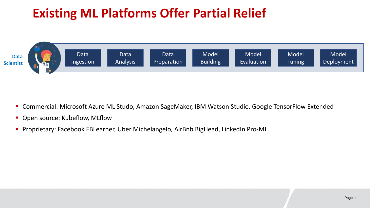# **Existing ML Platforms Offer Partial Relief**



- Commercial: Microsoft Azure ML Studo, Amazon SageMaker, IBM Watson Studio, Google TensorFlow Extended
- **Open source: Kubeflow, MLflow**
- **Proprietary: Facebook FBLearner, Uber Michelangelo, AirBnb BigHead, LinkedIn Pro-ML**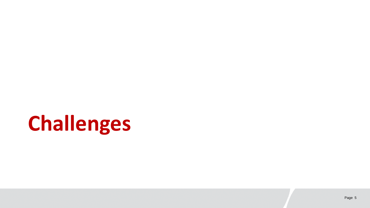# **Challenges**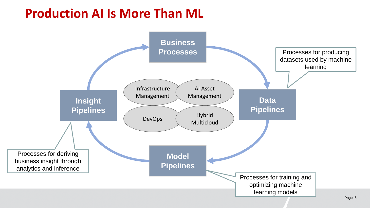## **Production AI Is More Than ML**

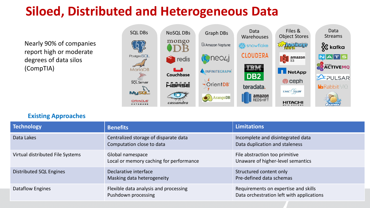## **Siloed, Distributed and Heterogeneous Data**

Nearly 90% of companies report high or moderate degrees of data silos (CompTIA)



### **Existing Approaches**

| <b>Technology</b>                | <b>Benefits</b>                                                    | <b>Limitations</b>                                                                |
|----------------------------------|--------------------------------------------------------------------|-----------------------------------------------------------------------------------|
| Data Lakes                       | Centralized storage of disparate data<br>Computation close to data | Incomplete and disintegrated data<br>Data duplication and staleness               |
| Virtual distributed File Systems | Global namespace<br>Local or memory caching for performance        | File abstraction too primitive<br>Unaware of higher-level semantics               |
| Distributed SQL Engines          | Declarative interface<br>Masking data heterogeneity                | Structured content only<br>Pre-defined data schemas                               |
| Dataflow Engines                 | Flexible data analysis and processing<br>Pushdown processing       | Requirements on expertise and skills<br>Data orchestration left with applications |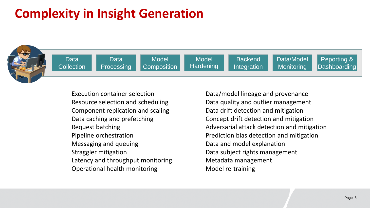## **Complexity in Insight Generation**

Data **Processing** 



Data **Collection** 

Model **Composition** 

**Model Hardening** 

**Backend Integration** 

Data/Model **Monitoring** 

Reporting & **Dashboarding** 

Execution container selection Resource selection and scheduling Component replication and scaling Data caching and prefetching Request batching Pipeline orchestration Messaging and queuing Straggler mitigation Latency and throughput monitoring Operational health monitoring

Data/model lineage and provenance Data quality and outlier management Data drift detection and mitigation Concept drift detection and mitigation Adversarial attack detection and mitigation Prediction bias detection and mitigation Data and model explanation Data subject rights management Metadata management Model re-training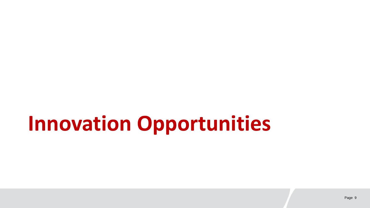# **Innovation Opportunities**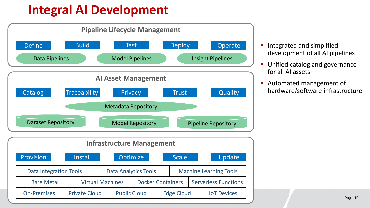## **Integral AI Development**



- **Integrated and simplified** development of all AI pipelines
- Unified catalog and governance for all AI assets
- **Automated management of** hardware/software infrastructure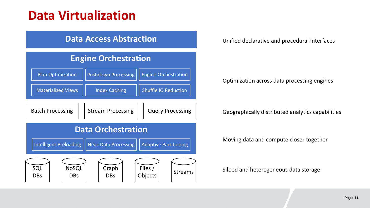## **Data Virtualization**

## **Data Access Abstraction**



Unified declarative and procedural interfaces

#### Optimization across data processing engines

#### Geographically distributed analytics capabilities

Moving data and compute closer together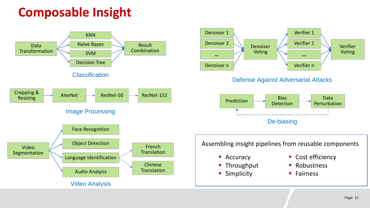## **Composable Insight**





Defense Against Adversarial Attacks



Assembling insight pipelines from reusable components

**Accuracy** 

Throughput

**Simplicity** 

- Cost efficiency
- **Robustness**
- **Fairness**